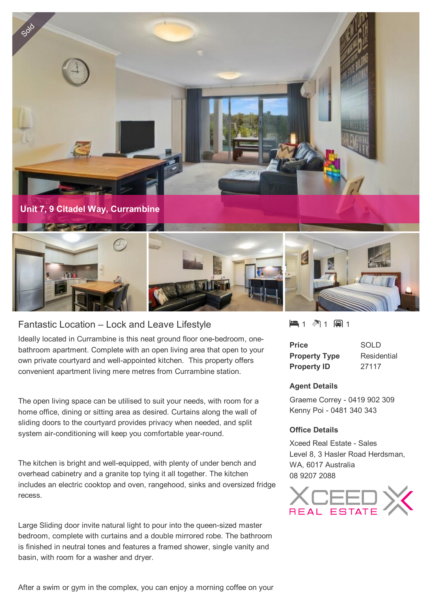

# Fantastic Location – Lock and Leave Lifestyle

Ideally located in Currambine is this neat ground floor one-bedroom, onebathroom apartment. Complete with an open living area that open to your own private courtyard and well-appointed kitchen. This property offers convenient apartment living mere metres from Currambine station.

The open living space can be utilised to suit your needs, with room for a home office, dining or sitting area as desired. Curtains along the wall of sliding doors to the courtyard provides privacy when needed, and split system air-conditioning will keep you comfortable year-round.

The kitchen is bright and well-equipped, with plenty of under bench and overhead cabinetry and a granite top tying it all together. The kitchen includes an electric cooktop and oven, rangehood, sinks and oversized fridge recess.

Large Sliding door invite natural light to pour into the queen-sized master bedroom, complete with curtains and a double mirrored robe. The bathroom is finished in neutral tones and features a framed shower, single vanity and basin, with room for a washer and dryer.

1 1 1

| <b>Price</b>         | SOLD        |
|----------------------|-------------|
| <b>Property Type</b> | Residential |
| <b>Property ID</b>   | 27117       |

#### **Agent Details**

Graeme Correy - 0419 902 309 Kenny Poi - 0481 340 343

#### **Office Details**

Xceed Real Estate - Sales Level 8, 3 Hasler Road Herdsman, WA, 6017 Australia 08 9207 2088